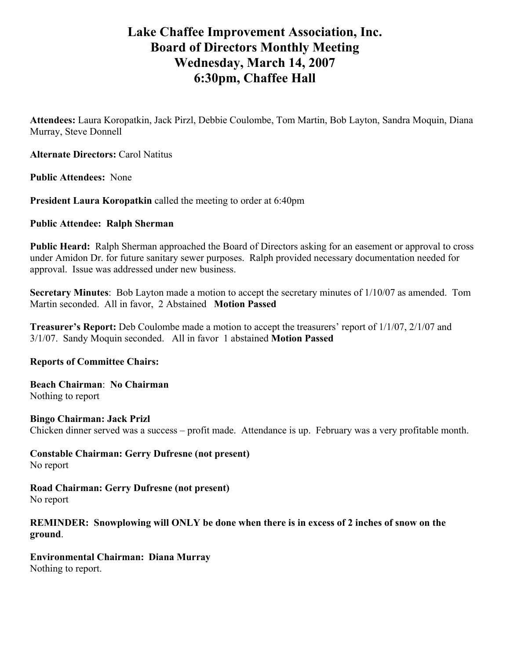# **Lake Chaffee Improvement Association, Inc. Board of Directors Monthly Meeting Wednesday, March 14, 2007 6:30pm, Chaffee Hall**

**Attendees:** Laura Koropatkin, Jack Pirzl, Debbie Coulombe, Tom Martin, Bob Layton, Sandra Moquin, Diana Murray, Steve Donnell

**Alternate Directors:** Carol Natitus

**Public Attendees:** None

**President Laura Koropatkin** called the meeting to order at 6:40pm

## **Public Attendee: Ralph Sherman**

**Public Heard:** Ralph Sherman approached the Board of Directors asking for an easement or approval to cross under Amidon Dr. for future sanitary sewer purposes. Ralph provided necessary documentation needed for approval. Issue was addressed under new business.

**Secretary Minutes**: Bob Layton made a motion to accept the secretary minutes of 1/10/07 as amended. Tom Martin seconded. All in favor, 2 Abstained **Motion Passed** 

**Treasurer's Report:** Deb Coulombe made a motion to accept the treasurers' report of 1/1/07, 2/1/07 and 3/1/07. Sandy Moquin seconded. All in favor 1 abstained **Motion Passed**

**Reports of Committee Chairs:** 

**Beach Chairman**: **No Chairman** Nothing to report

**Bingo Chairman: Jack Prizl**  Chicken dinner served was a success – profit made. Attendance is up. February was a very profitable month.

**Constable Chairman: Gerry Dufresne (not present)** No report

**Road Chairman: Gerry Dufresne (not present)**  No report

## **REMINDER: Snowplowing will ONLY be done when there is in excess of 2 inches of snow on the ground**.

**Environmental Chairman: Diana Murray**  Nothing to report.